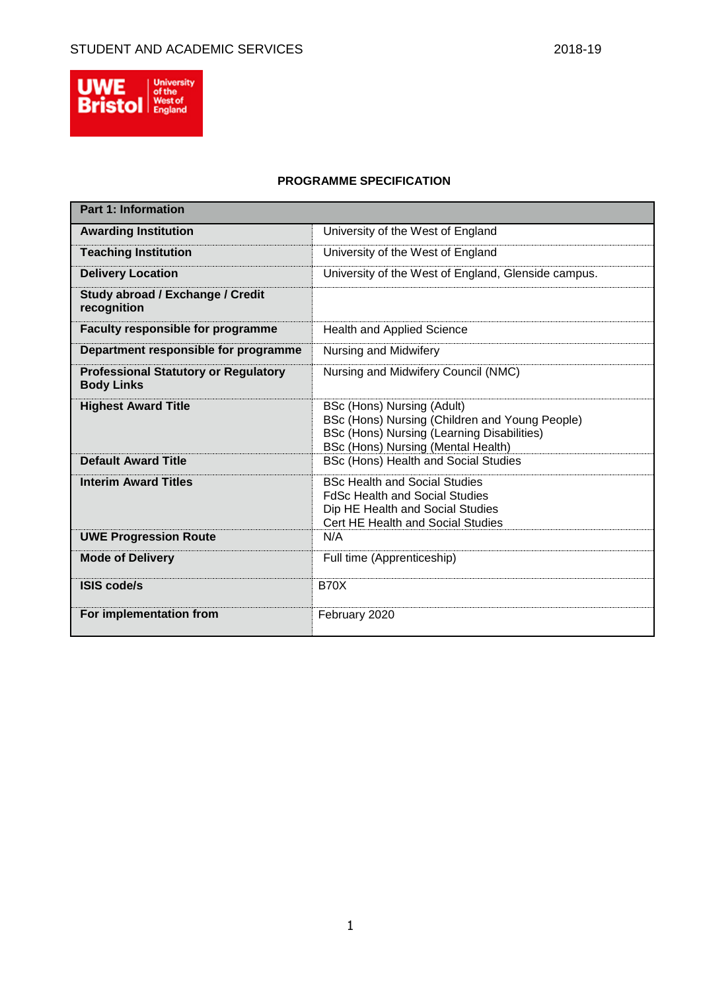

# **PROGRAMME SPECIFICATION**

| <b>Part 1: Information</b>                                       |                                                                                                                                                                  |
|------------------------------------------------------------------|------------------------------------------------------------------------------------------------------------------------------------------------------------------|
| <b>Awarding Institution</b>                                      | University of the West of England                                                                                                                                |
| <b>Teaching Institution</b>                                      | University of the West of England                                                                                                                                |
| <b>Delivery Location</b>                                         | University of the West of England, Glenside campus.                                                                                                              |
| Study abroad / Exchange / Credit<br>recognition                  |                                                                                                                                                                  |
| <b>Faculty responsible for programme</b>                         | <b>Health and Applied Science</b>                                                                                                                                |
| Department responsible for programme                             | Nursing and Midwifery                                                                                                                                            |
| <b>Professional Statutory or Regulatory</b><br><b>Body Links</b> | Nursing and Midwifery Council (NMC)                                                                                                                              |
| <b>Highest Award Title</b>                                       | BSc (Hons) Nursing (Adult)<br>BSc (Hons) Nursing (Children and Young People)<br>BSc (Hons) Nursing (Learning Disabilities)<br>BSc (Hons) Nursing (Mental Health) |
| <b>Default Award Title</b>                                       | BSc (Hons) Health and Social Studies                                                                                                                             |
| <b>Interim Award Titles</b>                                      | <b>BSc Health and Social Studies</b><br><b>FdSc Health and Social Studies</b><br>Dip HE Health and Social Studies<br>Cert HE Health and Social Studies           |
| <b>UWE Progression Route</b>                                     | N/A                                                                                                                                                              |
| <b>Mode of Delivery</b>                                          | Full time (Apprenticeship)                                                                                                                                       |
| <b>ISIS code/s</b>                                               | <b>B70X</b>                                                                                                                                                      |
| For implementation from                                          | February 2020                                                                                                                                                    |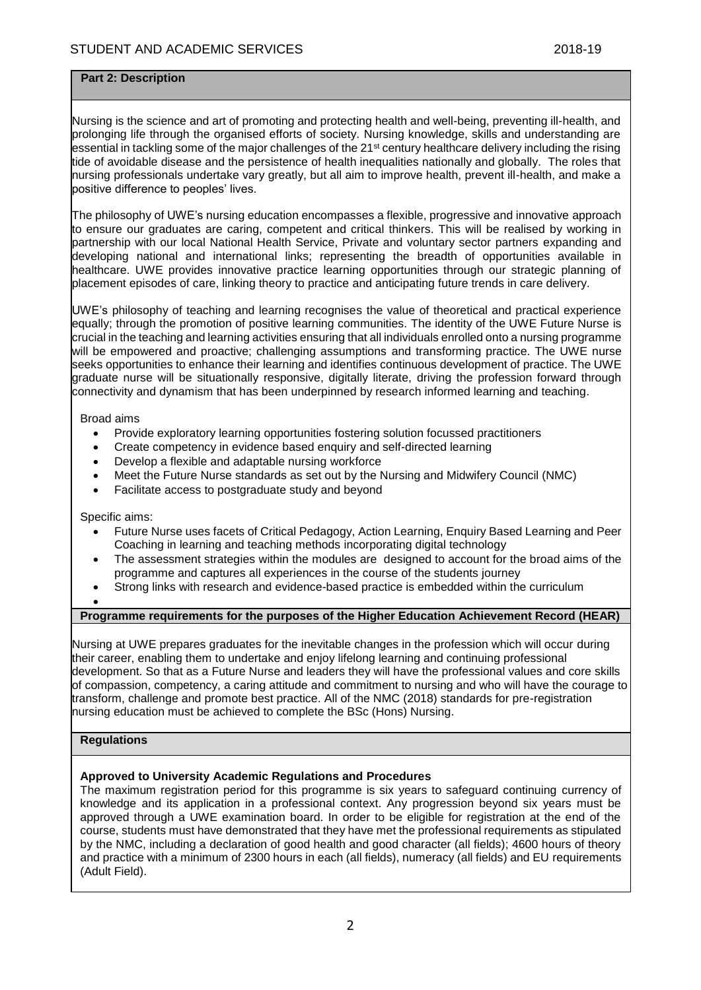## **Part 2: Description**

Nursing is the science and art of promoting and protecting health and well-being, preventing ill-health, and prolonging life through the organised efforts of society. Nursing knowledge, skills and understanding are essential in tackling some of the major challenges of the 21<sup>st</sup> century healthcare delivery including the rising tide of avoidable disease and the persistence of health inequalities nationally and globally. The roles that nursing professionals undertake vary greatly, but all aim to improve health, prevent ill-health, and make a positive difference to peoples' lives.

The philosophy of UWE's nursing education encompasses a flexible, progressive and innovative approach to ensure our graduates are caring, competent and critical thinkers. This will be realised by working in partnership with our local National Health Service, Private and voluntary sector partners expanding and developing national and international links; representing the breadth of opportunities available in healthcare. UWE provides innovative practice learning opportunities through our strategic planning of placement episodes of care, linking theory to practice and anticipating future trends in care delivery.

UWE's philosophy of teaching and learning recognises the value of theoretical and practical experience equally; through the promotion of positive learning communities. The identity of the UWE Future Nurse is crucial in the teaching and learning activities ensuring that all individuals enrolled onto a nursing programme will be empowered and proactive; challenging assumptions and transforming practice. The UWE nurse seeks opportunities to enhance their learning and identifies continuous development of practice. The UWE graduate nurse will be situationally responsive, digitally literate, driving the profession forward through connectivity and dynamism that has been underpinned by research informed learning and teaching.

### Broad aims

- Provide exploratory learning opportunities fostering solution focussed practitioners
- Create competency in evidence based enquiry and self-directed learning
- Develop a flexible and adaptable nursing workforce
- Meet the Future Nurse standards as set out by the Nursing and Midwifery Council (NMC)
- Facilitate access to postgraduate study and beyond

Specific aims:

- Future Nurse uses facets of Critical Pedagogy, Action Learning, Enquiry Based Learning and Peer Coaching in learning and teaching methods incorporating digital technology
- The assessment strategies within the modules are designed to account for the broad aims of the programme and captures all experiences in the course of the students journey
- Strong links with research and evidence-based practice is embedded within the curriculum
- $\bullet$

### **Programme requirements for the purposes of the Higher Education Achievement Record (HEAR)**

Nursing at UWE prepares graduates for the inevitable changes in the profession which will occur during their career, enabling them to undertake and enjoy lifelong learning and continuing professional development. So that as a Future Nurse and leaders they will have the professional values and core skills of compassion, competency, a caring attitude and commitment to nursing and who will have the courage to ransform, challenge and promote best practice. All of the NMC (2018) standards for pre-registration nursing education must be achieved to complete the BSc (Hons) Nursing.

## **Regulations**

## **Approved to University Academic Regulations and Procedures**

The maximum registration period for this programme is six years to safeguard continuing currency of knowledge and its application in a professional context. Any progression beyond six years must be approved through a UWE examination board. In order to be eligible for registration at the end of the course, students must have demonstrated that they have met the professional requirements as stipulated by the NMC, including a declaration of good health and good character (all fields); 4600 hours of theory and practice with a minimum of 2300 hours in each (all fields), numeracy (all fields) and EU requirements (Adult Field).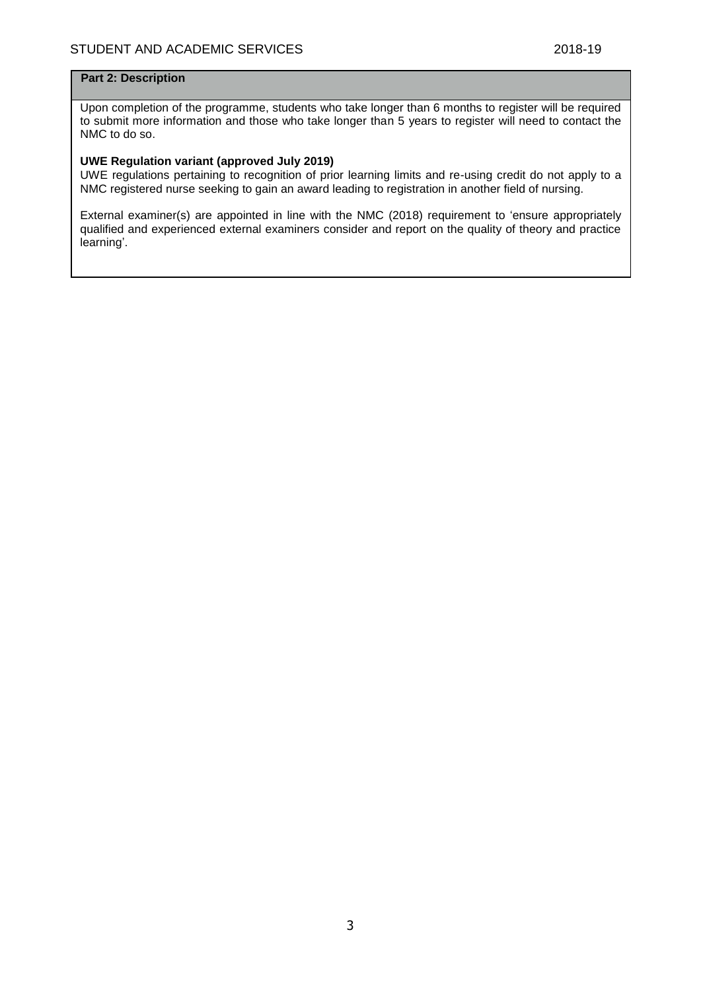## **Part 2: Description**

Upon completion of the programme, students who take longer than 6 months to register will be required to submit more information and those who take longer than 5 years to register will need to contact the NMC to do so.

## **UWE Regulation variant (approved July 2019)**

UWE regulations pertaining to recognition of prior learning limits and re-using credit do not apply to a NMC registered nurse seeking to gain an award leading to registration in another field of nursing.

External examiner(s) are appointed in line with the NMC (2018) requirement to 'ensure appropriately qualified and experienced external examiners consider and report on the quality of theory and practice learning'.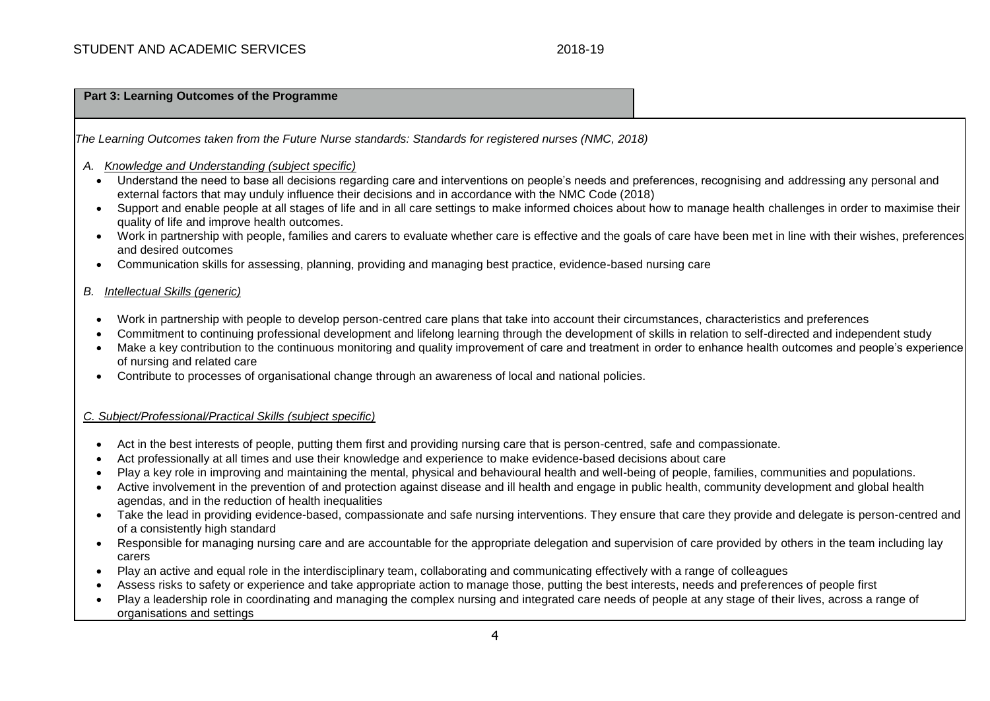### **Part 3: Learning Outcomes of the Programme**

*The Learning Outcomes taken from the Future Nurse standards: Standards for registered nurses (NMC, 2018)*

- *A. Knowledge and Understanding (subject specific)*
	- Understand the need to base all decisions regarding care and interventions on people's needs and preferences, recognising and addressing any personal and external factors that may unduly influence their decisions and in accordance with the NMC Code (2018)
	- Support and enable people at all stages of life and in all care settings to make informed choices about how to manage health challenges in order to maximise their quality of life and improve health outcomes.
	- Work in partnership with people, families and carers to evaluate whether care is effective and the goals of care have been met in line with their wishes, preferences and desired outcomes
	- Communication skills for assessing, planning, providing and managing best practice, evidence-based nursing care

## *B. Intellectual Skills (generic)*

- Work in partnership with people to develop person-centred care plans that take into account their circumstances, characteristics and preferences
- Commitment to continuing professional development and lifelong learning through the development of skills in relation to self-directed and independent study
- Make a key contribution to the continuous monitoring and quality improvement of care and treatment in order to enhance health outcomes and people's experience of nursing and related care
- Contribute to processes of organisational change through an awareness of local and national policies.

## *C. Subject/Professional/Practical Skills (subject specific)*

- Act in the best interests of people, putting them first and providing nursing care that is person-centred, safe and compassionate.
- Act professionally at all times and use their knowledge and experience to make evidence-based decisions about care
- Play a key role in improving and maintaining the mental, physical and behavioural health and well-being of people, families, communities and populations.
- Active involvement in the prevention of and protection against disease and ill health and engage in public health, community development and global health agendas, and in the reduction of health inequalities
- Take the lead in providing evidence-based, compassionate and safe nursing interventions. They ensure that care they provide and delegate is person-centred and of a consistently high standard
- Responsible for managing nursing care and are accountable for the appropriate delegation and supervision of care provided by others in the team including lay carers
- Play an active and equal role in the interdisciplinary team, collaborating and communicating effectively with a range of colleagues
- Assess risks to safety or experience and take appropriate action to manage those, putting the best interests, needs and preferences of people first
- Play a leadership role in coordinating and managing the complex nursing and integrated care needs of people at any stage of their lives, across a range of organisations and settings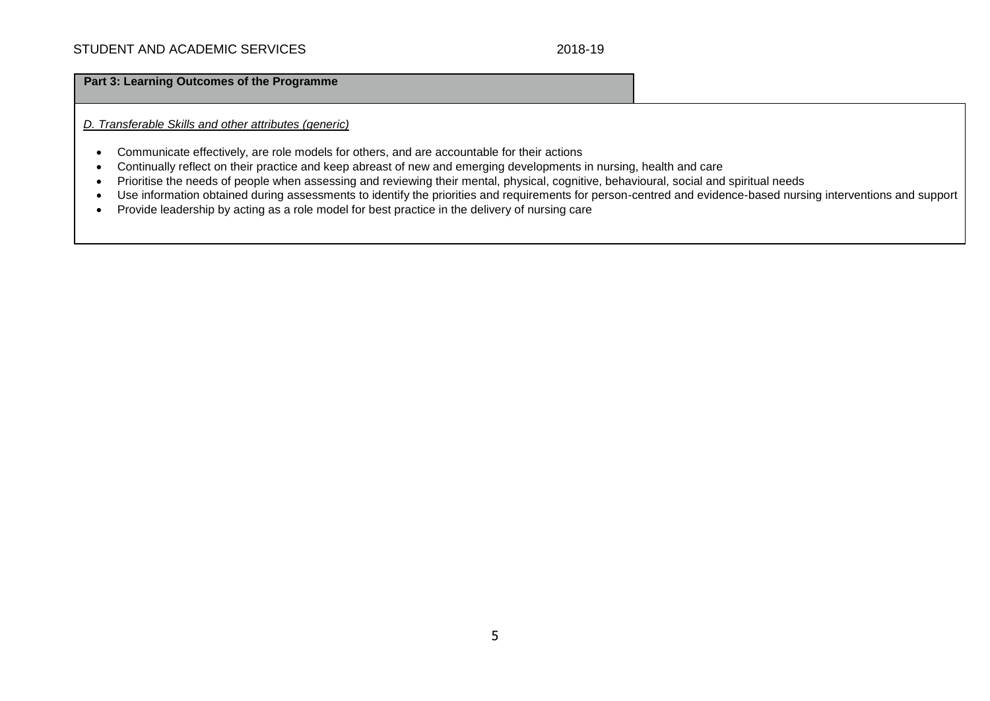## **Part 3: Learning Outcomes of the Programme**

*D. Transferable Skills and other attributes (generic)*

- Communicate effectively, are role models for others, and are accountable for their actions
- Continually reflect on their practice and keep abreast of new and emerging developments in nursing, health and care
- Prioritise the needs of people when assessing and reviewing their mental, physical, cognitive, behavioural, social and spiritual needs
- Use information obtained during assessments to identify the priorities and requirements for person-centred and evidence-based nursing interventions and support
- Provide leadership by acting as a role model for best practice in the delivery of nursing care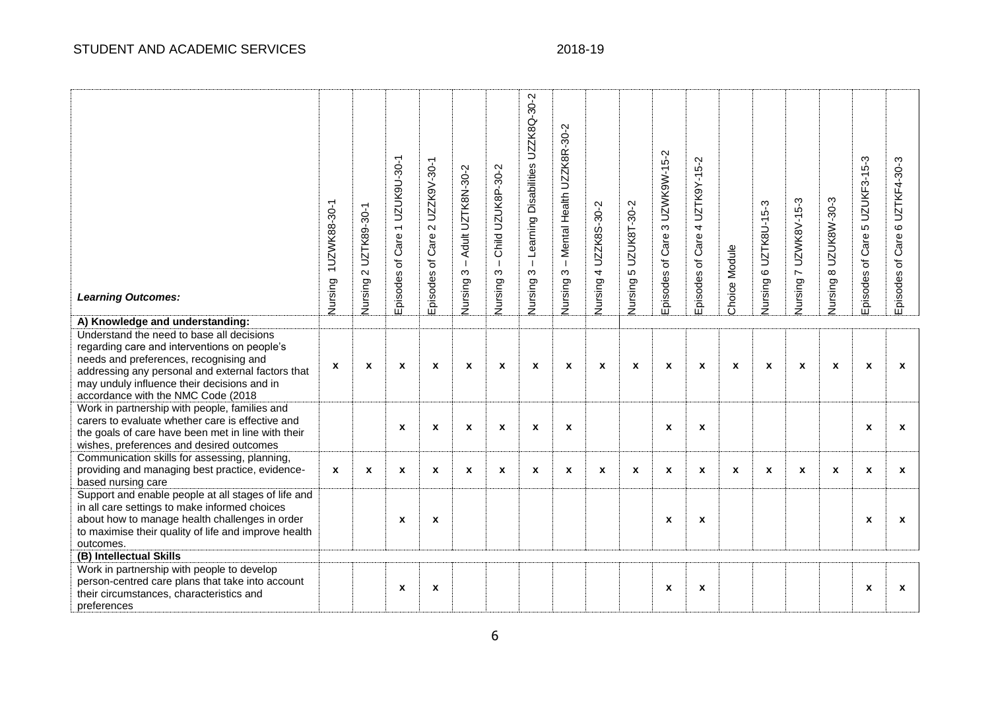| <b>Learning Outcomes:</b><br>A) Knowledge and understanding:                                                                                                                                                                                                                  | 1UZWK88-30-1<br>Nursing | UZTK89-30-1<br>$\sim$<br>Nursing | UZUK9U-30-1<br>$\overline{\phantom{0}}$<br>Care<br>৳<br>Episodes | UZZK9V-30-1<br>$\mathbf{\Omega}$<br>Care<br>$\overline{\sigma}$<br>Episodes | Adult UZTK8N-30-2<br>$\blacksquare$<br>$\infty$<br>Nursing | Child UZUK8P-30-2<br>$\blacksquare$<br>$\infty$<br>Nursing: | Learning Disabilities UZZK8Q-30-2<br>$\mathbf{I}$<br>S<br>Nursing | - Mental Health UZZK8R-30-2<br>ო<br>Nursing: | UZZK8S-30-2<br>4<br>Nursing | UZUK8T-30-2<br>Ю<br>Nursing | 3 UZWK9W-15-2<br>Episodes of Care | UZTK9Y-15-2<br>4<br>Care<br>Episodes of | Choice Module | 6 UZTK8U-15-3<br>Nursing | 7 UZWK8V-15-3<br>Nursing | UZUK8W-30-3<br>$\infty$<br>Vursing | 5 UZUKF3-15-3<br>Episodes of Care | UZTKF4-30-3<br>$\mathbf{\circ}$<br>Care<br>$\overline{\sigma}$<br>Episodes |
|-------------------------------------------------------------------------------------------------------------------------------------------------------------------------------------------------------------------------------------------------------------------------------|-------------------------|----------------------------------|------------------------------------------------------------------|-----------------------------------------------------------------------------|------------------------------------------------------------|-------------------------------------------------------------|-------------------------------------------------------------------|----------------------------------------------|-----------------------------|-----------------------------|-----------------------------------|-----------------------------------------|---------------|--------------------------|--------------------------|------------------------------------|-----------------------------------|----------------------------------------------------------------------------|
| Understand the need to base all decisions<br>regarding care and interventions on people's<br>needs and preferences, recognising and<br>addressing any personal and external factors that<br>may unduly influence their decisions and in<br>accordance with the NMC Code (2018 | $\mathbf{x}$            | X                                | X                                                                | X                                                                           | X                                                          | X                                                           | $\mathbf x$                                                       | $\boldsymbol{x}$                             | $\mathbf{x}$                | X                           | $\boldsymbol{x}$                  | $\boldsymbol{x}$                        | X             | X                        | x                        | $\boldsymbol{x}$                   | $\pmb{\chi}$                      | X                                                                          |
| Work in partnership with people, families and<br>carers to evaluate whether care is effective and<br>the goals of care have been met in line with their<br>wishes, preferences and desired outcomes                                                                           |                         |                                  | $\pmb{\mathsf{x}}$                                               | $\pmb{\chi}$                                                                | $\pmb{\chi}$                                               | $\pmb{\mathsf{x}}$                                          | $\boldsymbol{x}$                                                  | $\boldsymbol{\mathsf{x}}$                    |                             |                             | $\pmb{\chi}$                      | $\boldsymbol{\mathsf{x}}$               |               |                          |                          |                                    | $\pmb{\chi}$                      | X                                                                          |
| Communication skills for assessing, planning,<br>providing and managing best practice, evidence-<br>based nursing care                                                                                                                                                        | $\mathbf{x}$            | X                                | $\pmb{\mathsf{x}}$                                               | $\pmb{\chi}$                                                                | X                                                          | $\pmb{\mathsf{x}}$                                          | $\mathbf{x}$                                                      | $\boldsymbol{x}$                             | $\mathbf x$                 | $\boldsymbol{x}$            | $\pmb{\mathsf{x}}$                | $\pmb{\chi}$                            | X             | $\boldsymbol{x}$         | $\mathbf{x}$             | $\boldsymbol{x}$                   | $\pmb{\chi}$                      | X                                                                          |
| Support and enable people at all stages of life and<br>in all care settings to make informed choices<br>about how to manage health challenges in order<br>to maximise their quality of life and improve health<br>outcomes.                                                   |                         |                                  | X                                                                | $\boldsymbol{x}$                                                            |                                                            |                                                             |                                                                   |                                              |                             |                             | $\boldsymbol{x}$                  | $\boldsymbol{x}$                        |               |                          |                          |                                    | $\boldsymbol{x}$                  | X                                                                          |
| (B) Intellectual Skills<br>Work in partnership with people to develop<br>person-centred care plans that take into account<br>their circumstances, characteristics and<br>preferences                                                                                          |                         |                                  | $\pmb{\mathsf{x}}$                                               | $\pmb{\mathsf{x}}$                                                          |                                                            |                                                             |                                                                   |                                              |                             |                             | X                                 | $\boldsymbol{\mathsf{x}}$               |               |                          |                          |                                    | $\boldsymbol{x}$                  | X                                                                          |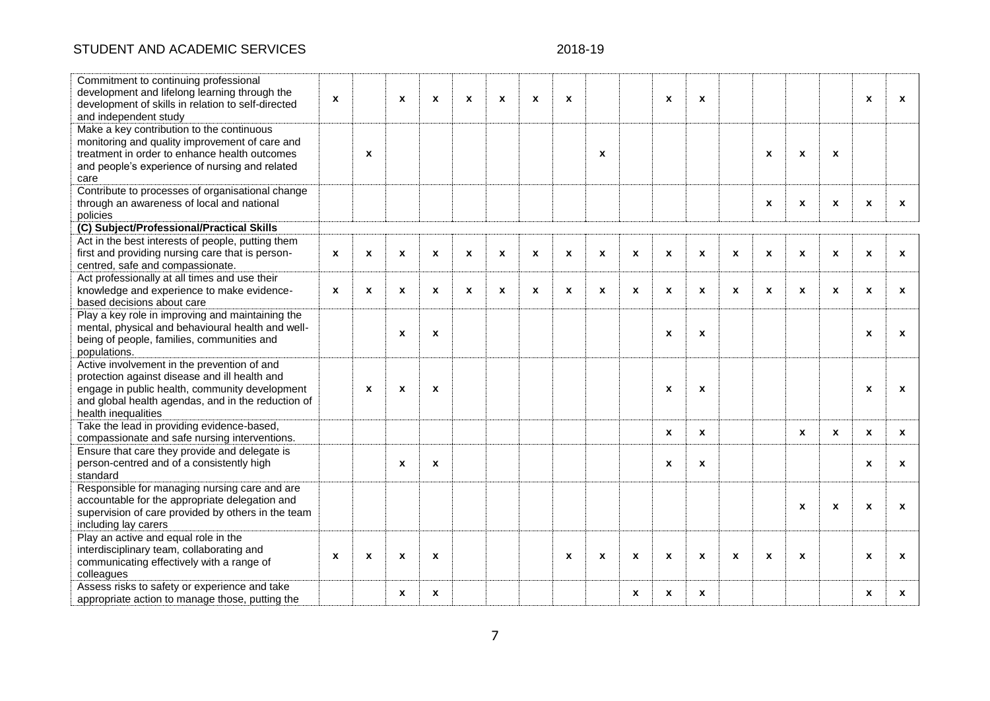# STUDENT AND ACADEMIC SERVICES

# 2018-19

| Commitment to continuing professional<br>development and lifelong learning through the<br>development of skills in relation to self-directed<br>and independent study                                                       | X            |                    | $\pmb{\chi}$     | X                | X            | $\boldsymbol{x}$   | $\boldsymbol{\mathsf{x}}$ | $\mathbf{x}$ |                           |                  | $\boldsymbol{\mathsf{x}}$ | X                  |                    |                           |                  |                           | X                  | X            |
|-----------------------------------------------------------------------------------------------------------------------------------------------------------------------------------------------------------------------------|--------------|--------------------|------------------|------------------|--------------|--------------------|---------------------------|--------------|---------------------------|------------------|---------------------------|--------------------|--------------------|---------------------------|------------------|---------------------------|--------------------|--------------|
| Make a key contribution to the continuous<br>monitoring and quality improvement of care and<br>treatment in order to enhance health outcomes<br>and people's experience of nursing and related<br>care                      |              | $\boldsymbol{x}$   |                  |                  |              |                    |                           |              | $\boldsymbol{\mathsf{x}}$ |                  |                           |                    |                    | X                         | $\pmb{\chi}$     | $\boldsymbol{\mathsf{x}}$ |                    |              |
| Contribute to processes of organisational change<br>through an awareness of local and national<br>policies                                                                                                                  |              |                    |                  |                  |              |                    |                           |              |                           |                  |                           |                    |                    | X                         | X                | $\mathbf x$               | $\boldsymbol{x}$   | X            |
| (C) Subject/Professional/Practical Skills                                                                                                                                                                                   |              |                    |                  |                  |              |                    |                           |              |                           |                  |                           |                    |                    |                           |                  |                           |                    |              |
| Act in the best interests of people, putting them<br>first and providing nursing care that is person-<br>centred, safe and compassionate.                                                                                   | X            | $\pmb{\mathsf{x}}$ | $\pmb{\chi}$     | X                | X            | $\pmb{\mathsf{x}}$ | $\boldsymbol{\mathsf{x}}$ | X            | $\pmb{\chi}$              | $\boldsymbol{x}$ | $\pmb{\chi}$              | $\pmb{\mathsf{x}}$ | $\pmb{\mathsf{x}}$ | $\pmb{\mathsf{x}}$        | X                | $\boldsymbol{\mathsf{x}}$ | $\pmb{\mathsf{x}}$ | X            |
| Act professionally at all times and use their<br>knowledge and experience to make evidence-<br>based decisions about care                                                                                                   | $\mathbf{x}$ | $\pmb{\chi}$       | $\pmb{\chi}$     | X                | $\mathbf{x}$ | $\mathbf{x}$       | $\mathbf{x}$              | X            | $\boldsymbol{x}$          | $\boldsymbol{x}$ | $\boldsymbol{x}$          | $\pmb{\chi}$       | X                  | $\mathbf{x}$              | X                | $\mathbf{x}$              | $\mathbf x$        | X            |
| Play a key role in improving and maintaining the<br>mental, physical and behavioural health and well-<br>being of people, families, communities and<br>populations.                                                         |              |                    | $\pmb{\chi}$     | X                |              |                    |                           |              |                           |                  | $\boldsymbol{\mathsf{x}}$ | $\pmb{\chi}$       |                    |                           |                  |                           | $\boldsymbol{x}$   | X            |
| Active involvement in the prevention of and<br>protection against disease and ill health and<br>engage in public health, community development<br>and global health agendas, and in the reduction of<br>health inequalities |              | $\boldsymbol{x}$   | $\pmb{\chi}$     | X                |              |                    |                           |              |                           |                  | $\boldsymbol{x}$          | $\pmb{\chi}$       |                    |                           |                  |                           | $\pmb{\chi}$       | $\mathbf x$  |
| Take the lead in providing evidence-based,<br>compassionate and safe nursing interventions.                                                                                                                                 |              |                    |                  |                  |              |                    |                           |              |                           |                  | $\boldsymbol{x}$          | X                  |                    |                           | $\mathbf{x}$     | $\mathbf{x}$              | $\mathbf{x}$       | $\mathbf{x}$ |
| Ensure that care they provide and delegate is<br>person-centred and of a consistently high<br>standard                                                                                                                      |              |                    | $\mathbf{x}$     | X                |              |                    |                           |              |                           |                  | $\mathbf{x}$              | X                  |                    |                           |                  |                           | $\mathbf{x}$       | X            |
| Responsible for managing nursing care and are<br>accountable for the appropriate delegation and<br>supervision of care provided by others in the team<br>including lay carers                                               |              |                    |                  |                  |              |                    |                           |              |                           |                  |                           |                    |                    |                           | X                | $\mathbf{x}$              | $\mathbf{x}$       | X            |
| Play an active and equal role in the<br>interdisciplinary team, collaborating and<br>communicating effectively with a range of<br>colleagues                                                                                | $\mathbf{x}$ | $\boldsymbol{x}$   | $\boldsymbol{x}$ | $\boldsymbol{x}$ |              |                    |                           | $\mathbf{x}$ | $\boldsymbol{\mathsf{x}}$ | $\boldsymbol{x}$ | $\boldsymbol{\mathsf{x}}$ | $\boldsymbol{x}$   | X                  | $\boldsymbol{\mathsf{x}}$ | $\boldsymbol{x}$ |                           | $\mathbf{x}$       | X            |
| Assess risks to safety or experience and take<br>appropriate action to manage those, putting the                                                                                                                            |              |                    | $\boldsymbol{x}$ | X                |              |                    |                           |              |                           | X                | $\boldsymbol{x}$          | X                  |                    |                           |                  |                           | $\mathbf x$        | X            |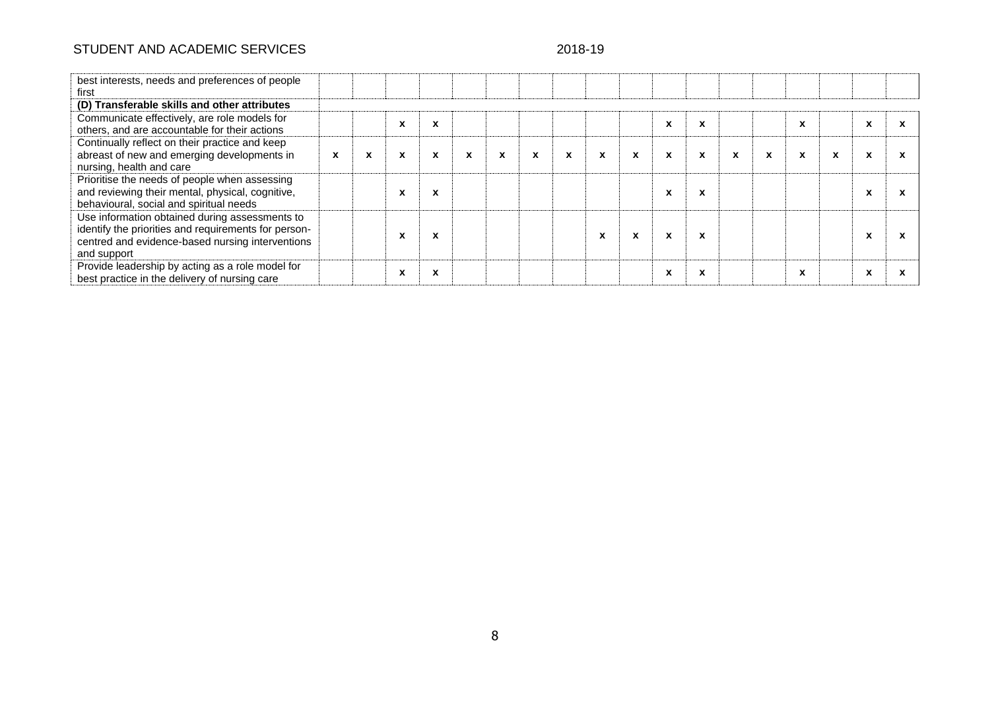# STUDENT AND ACADEMIC SERVICES 2018-19

| best interests, needs and preferences of people<br>first                                                                                                                  |              |   |                          |         |   |   |   |              |                           |                           |                           |   |   |             |              |             |  |
|---------------------------------------------------------------------------------------------------------------------------------------------------------------------------|--------------|---|--------------------------|---------|---|---|---|--------------|---------------------------|---------------------------|---------------------------|---|---|-------------|--------------|-------------|--|
| (D) Transferable skills and other attributes                                                                                                                              |              |   |                          |         |   |   |   |              |                           |                           |                           |   |   |             |              |             |  |
| Communicate effectively, are role models for<br>others, and are accountable for their actions                                                                             |              |   | X                        | X       |   |   |   |              |                           |                           | X                         | X |   |             | $\mathbf{x}$ | $\mathbf x$ |  |
| Continually reflect on their practice and keep                                                                                                                            |              |   |                          |         |   |   |   |              |                           |                           |                           |   |   |             |              |             |  |
| abreast of new and emerging developments in<br>nursing, health and care                                                                                                   | $\mathbf{x}$ | X | X                        | X       | x | x | X | $\mathbf{x}$ | $\boldsymbol{\mathsf{x}}$ | $\boldsymbol{\mathsf{x}}$ | $\mathbf{x}$              | X | X | $\mathbf x$ | X            | X           |  |
| Prioritise the needs of people when assessing<br>and reviewing their mental, physical, cognitive,<br>behavioural, social and spiritual needs                              |              |   |                          | X       |   |   |   |              |                           |                           | X                         | x |   |             |              |             |  |
| Use information obtained during assessments to<br>identify the priorities and requirements for person-<br>centred and evidence-based nursing interventions<br>and support |              |   |                          | x       |   |   |   |              | X                         | $\boldsymbol{\mathsf{x}}$ | $\boldsymbol{\mathsf{x}}$ | X |   |             |              |             |  |
| Provide leadership by acting as a role model for<br>best practice in the delivery of nursing care                                                                         |              |   | $\overline{\phantom{a}}$ | v<br>л. |   |   |   |              |                           |                           | X                         |   |   |             | X            | X           |  |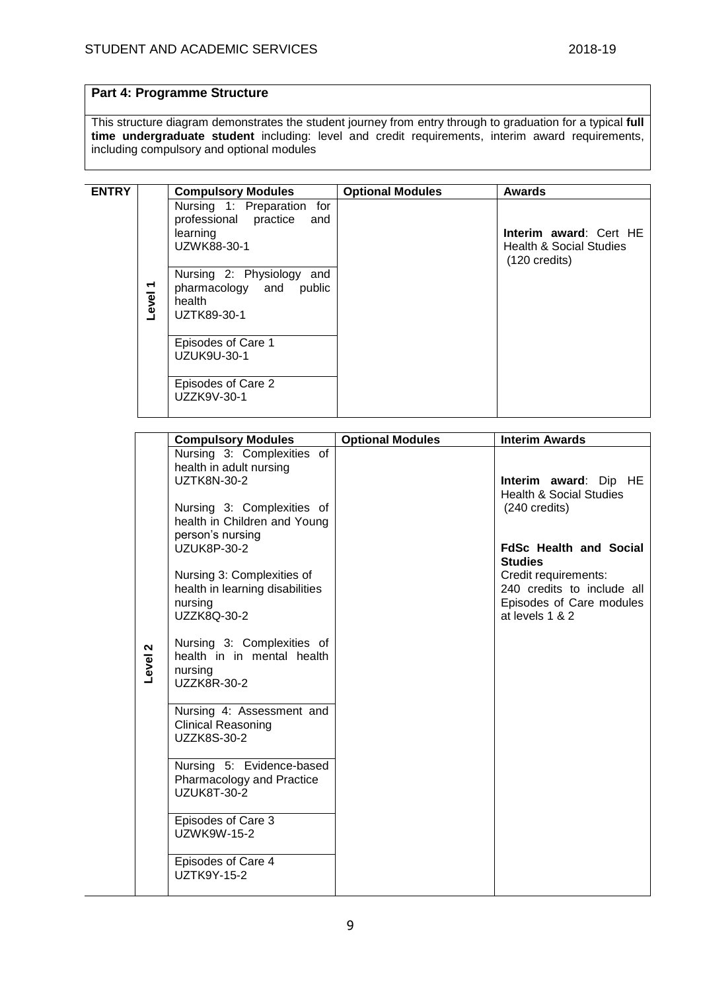# **Part 4: Programme Structure**

This structure diagram demonstrates the student journey from entry through to graduation for a typical **full time undergraduate student** including: level and credit requirements, interim award requirements, including compulsory and optional modules

| <b>ENTRY</b> |            | <b>Compulsory Modules</b>                                                             | <b>Optional Modules</b> | <b>Awards</b>                                                                |
|--------------|------------|---------------------------------------------------------------------------------------|-------------------------|------------------------------------------------------------------------------|
|              |            | Nursing 1: Preparation for<br>professional practice<br>and<br>learning<br>UZWK88-30-1 |                         | Interim award: Cert HE<br>Health & Social Studies<br>$(120 \text{ credits})$ |
|              | ↽<br>Level | Nursing 2: Physiology and<br>pharmacology and public<br>health<br>UZTK89-30-1         |                         |                                                                              |
|              |            | Episodes of Care 1<br>UZUK9U-30-1                                                     |                         |                                                                              |
|              |            | Episodes of Care 2<br>UZZK9V-30-1                                                     |                         |                                                                              |

|         | <b>Compulsory Modules</b>                                                                                                                                                                                                                                                                                                                                  | <b>Optional Modules</b> | <b>Interim Awards</b>                                                                                                                                |
|---------|------------------------------------------------------------------------------------------------------------------------------------------------------------------------------------------------------------------------------------------------------------------------------------------------------------------------------------------------------------|-------------------------|------------------------------------------------------------------------------------------------------------------------------------------------------|
|         | Nursing 3: Complexities of<br>health in adult nursing<br><b>UZTK8N-30-2</b><br>Nursing 3: Complexities of<br>health in Children and Young                                                                                                                                                                                                                  |                         | Interim award: Dip HE<br><b>Health &amp; Social Studies</b><br>$(240 \text{ credits})$                                                               |
| Level 2 | person's nursing<br><b>UZUK8P-30-2</b><br>Nursing 3: Complexities of<br>health in learning disabilities<br>nursing<br>UZZK8Q-30-2<br>Nursing 3: Complexities of<br>health in in mental health<br>nursing<br>UZZK8R-30-2<br>Nursing 4: Assessment and<br><b>Clinical Reasoning</b><br>UZZK8S-30-2<br>Nursing 5: Evidence-based<br>Pharmacology and Practice |                         | <b>FdSc Health and Social</b><br><b>Studies</b><br>Credit requirements:<br>240 credits to include all<br>Episodes of Care modules<br>at levels 1 & 2 |
|         | <b>UZUK8T-30-2</b><br>Episodes of Care 3<br>UZWK9W-15-2<br>Episodes of Care 4<br><b>UZTK9Y-15-2</b>                                                                                                                                                                                                                                                        |                         |                                                                                                                                                      |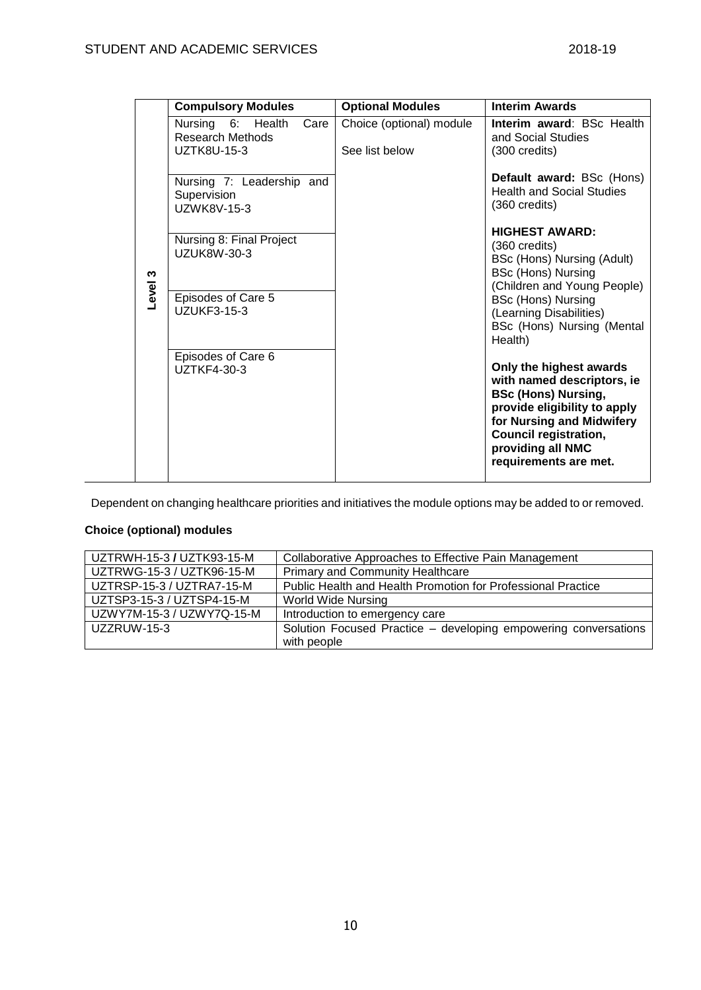|         | <b>Compulsory Modules</b>                                    | <b>Optional Modules</b>                    | <b>Interim Awards</b>                                                                                                                                                                                                          |
|---------|--------------------------------------------------------------|--------------------------------------------|--------------------------------------------------------------------------------------------------------------------------------------------------------------------------------------------------------------------------------|
|         | Nursing 6: Health<br>Care<br>Research Methods<br>UZTK8U-15-3 | Choice (optional) module<br>See list below | Interim award: BSc Health<br>and Social Studies<br>$(300 \text{ credits})$                                                                                                                                                     |
|         | Nursing 7: Leadership and<br>Supervision<br>UZWK8V-15-3      |                                            | Default award: BSc (Hons)<br><b>Health and Social Studies</b><br>$(360 \text{ credits})$                                                                                                                                       |
|         | Nursing 8: Final Project<br>UZUK8W-30-3                      |                                            | <b>HIGHEST AWARD:</b><br>$(360 \text{ credits})$<br>BSc (Hons) Nursing (Adult)<br><b>BSc (Hons) Nursing</b><br>(Children and Young People)                                                                                     |
| Level 3 | Episodes of Care 5<br><b>UZUKF3-15-3</b>                     |                                            | <b>BSc (Hons) Nursing</b><br>(Learning Disabilities)<br>BSc (Hons) Nursing (Mental<br>Health)                                                                                                                                  |
|         | Episodes of Care 6<br>UZTKF4-30-3                            |                                            | Only the highest awards<br>with named descriptors, ie<br><b>BSc (Hons) Nursing,</b><br>provide eligibility to apply<br>for Nursing and Midwifery<br><b>Council registration,</b><br>providing all NMC<br>requirements are met. |

Dependent on changing healthcare priorities and initiatives the module options may be added to or removed.

# **Choice (optional) modules**

| UZTRWH-15-3 / UZTK93-15-M | Collaborative Approaches to Effective Pain Management           |
|---------------------------|-----------------------------------------------------------------|
| UZTRWG-15-3 / UZTK96-15-M | <b>Primary and Community Healthcare</b>                         |
| UZTRSP-15-3 / UZTRA7-15-M | Public Health and Health Promotion for Professional Practice    |
| UZTSP3-15-3 / UZTSP4-15-M | <b>World Wide Nursing</b>                                       |
| UZWY7M-15-3 / UZWY7Q-15-M | Introduction to emergency care                                  |
| UZZRUW-15-3               | Solution Focused Practice – developing empowering conversations |
|                           | with people                                                     |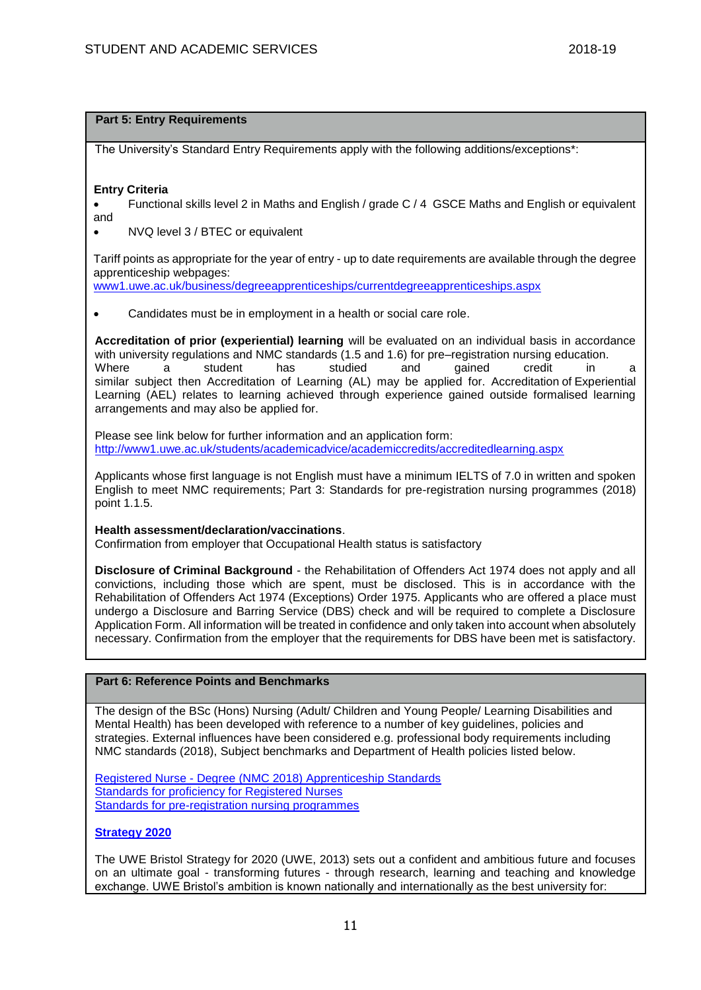## **Part 5: Entry Requirements**

The University's Standard Entry Requirements apply with the following additions/exceptions\*:

## **Entry Criteria**

 Functional skills level 2 in Maths and English / grade C / 4 GSCE Maths and English or equivalent and

• NVQ level 3 / BTEC or equivalent

Tariff points as appropriate for the year of entry - up to date requirements are available through the degree apprenticeship webpages:

[www1.uwe.ac.uk/business/degreeapprenticeships/currentdegreeapprenticeships.aspx](https://www1.uwe.ac.uk/business/degreeapprenticeships/currentdegreeapprenticeships.aspx) 

Candidates must be in employment in a health or social care role.

**Accreditation of prior (experiential) learning** will be evaluated on an individual basis in accordance with university regulations and NMC standards (1.5 and 1.6) for pre–registration nursing education.<br>Where a student has studied and gained credit in Where a student has studied and gained credit in a similar subject then Accreditation of Learning (AL) may be applied for. Accreditation of Experiential Learning (AEL) relates to learning achieved through experience gained outside formalised learning arrangements and may also be applied for.

Please see link below for further information and an application form: <http://www1.uwe.ac.uk/students/academicadvice/academiccredits/accreditedlearning.aspx>

Applicants whose first language is not English must have a minimum IELTS of 7.0 in written and spoken English to meet NMC requirements; Part 3: Standards for pre-registration nursing programmes (2018) point 1.1.5.

### **Health assessment/declaration/vaccinations**.

Confirmation from employer that Occupational Health status is satisfactory

**Disclosure of Criminal Background** - the Rehabilitation of Offenders Act 1974 does not apply and all convictions, including those which are spent, must be disclosed. This is in accordance with the Rehabilitation of Offenders Act 1974 (Exceptions) Order 1975. Applicants who are offered a place must undergo a Disclosure and Barring Service (DBS) check and will be required to complete a Disclosure Application Form. All information will be treated in confidence and only taken into account when absolutely necessary. Confirmation from the employer that the requirements for DBS have been met is satisfactory.

## **Part 6: Reference Points and Benchmarks**

The design of the BSc (Hons) Nursing (Adult/ Children and Young People/ Learning Disabilities and Mental Health) has been developed with reference to a number of key guidelines, policies and strategies. External influences have been considered e.g. professional body requirements including NMC standards (2018), Subject benchmarks and Department of Health policies listed below.

Registered Nurse - [Degree \(NMC 2018\) Apprenticeship Standards](https://www.instituteforapprenticeships.org/apprenticeship-standards/registered-nurse-degree-nmc-2018/) [Standards for proficiency for Registered Nurses](https://www.nmc.org.uk/standards/standards-for-nurses/standards-of-proficiency-for-registered-nurses/) [Standards for pre-registration nursing programmes](https://www.nmc.org.uk/standards/standards-for-nurses/standards-for-pre-registration-nursing-programmes/)

## **[Strategy 2020](http://www1.uwe.ac.uk/about/corporateinformation/strategy.aspx)**

The UWE Bristol Strategy for 2020 (UWE, 2013) sets out a confident and ambitious future and focuses on an ultimate goal - transforming futures - through research, learning and teaching and knowledge exchange. UWE Bristol's ambition is known nationally and internationally as the best university for: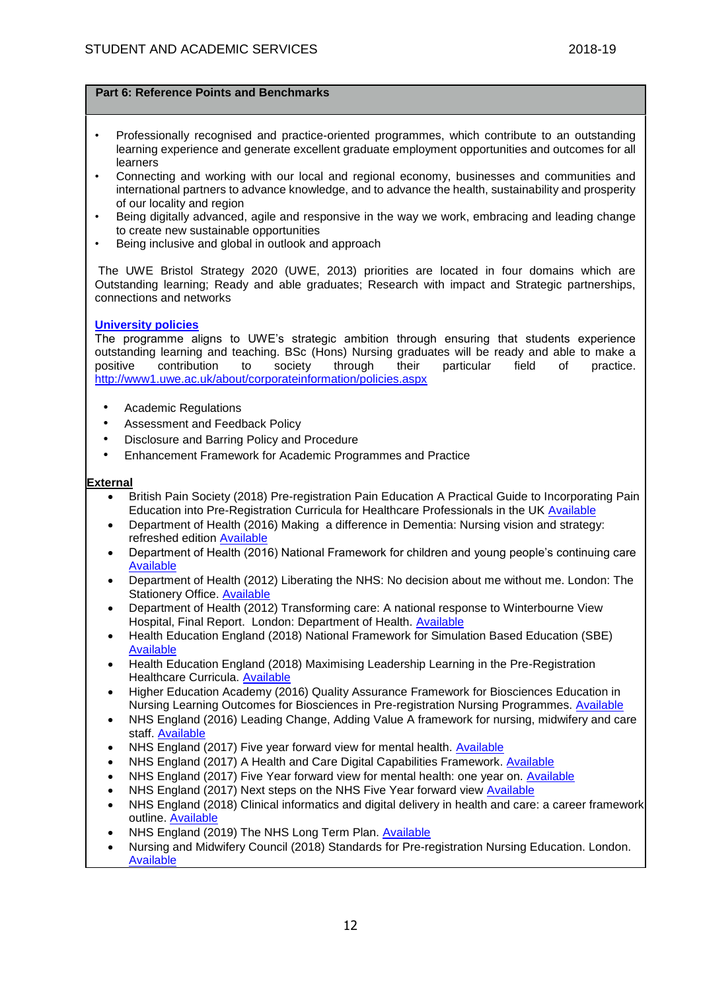- Professionally recognised and practice-oriented programmes, which contribute to an outstanding learning experience and generate excellent graduate employment opportunities and outcomes for all learners
- Connecting and working with our local and regional economy, businesses and communities and international partners to advance knowledge, and to advance the health, sustainability and prosperity of our locality and region
- Being digitally advanced, agile and responsive in the way we work, embracing and leading change to create new sustainable opportunities
- Being inclusive and global in outlook and approach

The UWE Bristol Strategy 2020 (UWE, 2013) priorities are located in four domains which are Outstanding learning; Ready and able graduates; Research with impact and Strategic partnerships, connections and networks

## **[University policies](http://www1.uwe.ac.uk/aboutus/policies)**

The programme aligns to UWE's strategic ambition through ensuring that students experience outstanding learning and teaching. BSc (Hons) Nursing graduates will be ready and able to make a positive contribution to society through their particular field of practice. <http://www1.uwe.ac.uk/about/corporateinformation/policies.aspx>

- Academic Regulations
- Assessment and Feedback Policy
- Disclosure and Barring Policy and Procedure
- Enhancement Framework for Academic Programmes and Practice

## **External**

- British Pain Society (2018) Pre-registration Pain Education A Practical Guide to Incorporating Pain Education into Pre-Registration Curricula for Healthcare Professionals in the UK [Available](https://www.britishpainsociety.org/static/uploads/resources/files/BPS_Pre-registration_Practical_Guide_Feb_2018_1wsCBZo.pdf)
- Department of Health (2016) Making a difference in Dementia: Nursing vision and strategy: refreshed edition [Available](https://assets.publishing.service.gov.uk/government/uploads/system/uploads/attachment_data/file/554296/Dementia_nursing_strategy.pdf)
- Department of Health (2016) National Framework for children and young people's continuing care [Available](https://assets.publishing.service.gov.uk/government/uploads/system/uploads/attachment_data/file/499611/children_s_continuing_care_Fe_16.pdf)
- Department of Health (2012) Liberating the NHS: No decision about me without me. London: The Stationery Office. [Available](https://share.uwe.ac.uk/sites/car/PSRB%20NMC%20Accreditation%20BSc%20Nursing%20Apprenticeship/Event%20Documentation/Programme%20Documentation/01.%20Programme%20Specification/•%09https:/webarchive.nationalarchives.gov.uk/20121111131010/http:/www.dh.gov.uk/en/Consultations/Liveconsulta/DH_134221)
- Department of Health (2012) Transforming care: A national response to Winterbourne View Hospital, Final Report. London: Department of Health. [Available](https://assets.publishing.service.gov.uk/government/uploads/system/uploads/attachment_data/file/213215/final-report.pdf)
- Health Education England (2018) National Framework for Simulation Based Education (SBE) [Available](https://www.hee.nhs.uk/sites/default/files/documents/National%20framework%20for%20simulation%20based%20education.pdf)
- Health Education England (2018) Maximising Leadership Learning in the Pre-Registration Healthcare Curricula. [Available](https://www.hee.nhs.uk/sites/default/files/documents/Guidelines%20-%20Maximising%20Leadership%20in%20the%20Pre-reg%20Healthcare%20Curricula%20%282018%29.pdf)
- Higher Education Academy (2016) Quality Assurance Framework for Biosciences Education in Nursing Learning Outcomes for Biosciences in Pre-registration Nursing Programmes. [Available](https://www.heacademy.ac.uk/system/files/bine_biosciences_qa_framework_b-qaf_july_16.pdf)
- NHS England (2016) Leading Change, Adding Value A framework for nursing, midwifery and care staff. [Available](https://www.england.nhs.uk/wp-content/uploads/2016/05/nursing-framework.pdf)
- NHS England (2017) Five year forward view for mental health. [Available](https://www.england.nhs.uk/wp-content/uploads/2016/02/Mental-Health-Taskforce-FYFV-final.pdf)
- NHS England (2017) A Health and Care Digital Capabilities Framework. [Available](https://www.hee.nhs.uk/sites/default/files/documents/Digital%20Literacy%20Capability%20Framework%202018.pdf)
- NHS England (2017) Five Year forward view for mental health: one year on. [Available](https://www.england.nhs.uk/wp-content/uploads/2017/03/fyfv-mh-one-year-on.pdf)
- NHS England (2017) Next steps on the NHS Five Year forward view [Available](https://www.england.nhs.uk/wp-content/uploads/2017/03/NEXT-STEPS-ON-THE-NHS-FIVE-YEAR-FORWARD-VIEW.pdf)
- NHS England (2018) Clinical informatics and digital delivery in health and care: a career framework outline. [Available](https://improvement.nhs.uk/documents/3255/Digital_career_framework_for_nurses_and_AHPs_sep2018.pdf)
- NHS England (2019) The NHS Long Term Plan. [Available](https://www.longtermplan.nhs.uk/)
- Nursing and Midwifery Council (2018) Standards for Pre-registration Nursing Education. London. [Available](https://www.nmc.org.uk/standards/standards-for-nurses/)

12